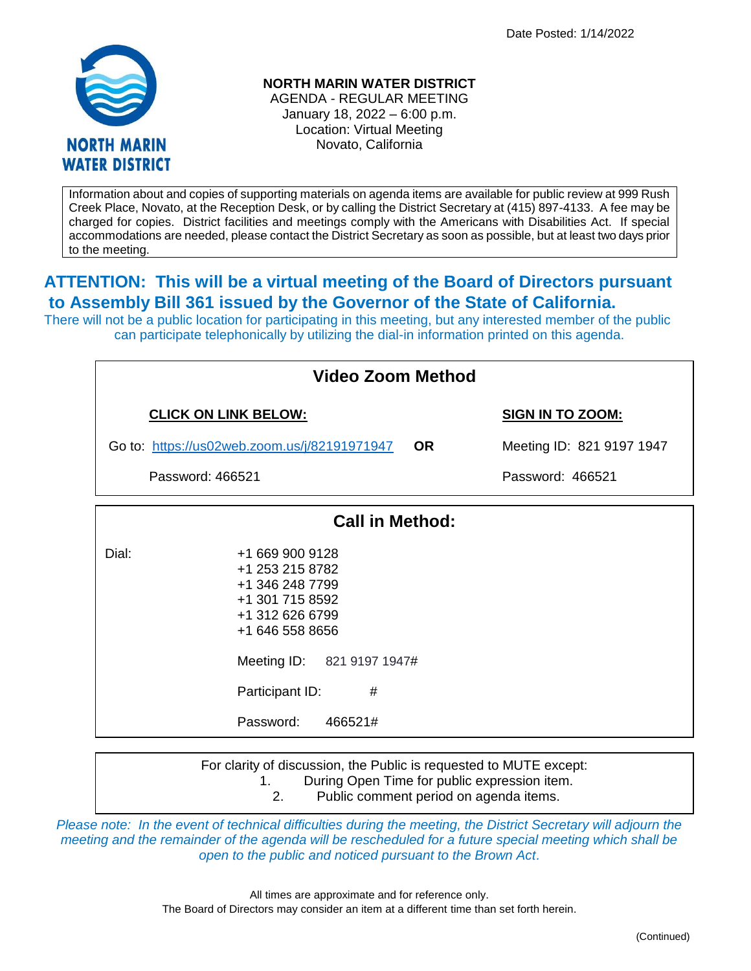Date Posted: 1/14/2022



**NORTH MARIN WATER DISTRICT**

AGENDA - REGULAR MEETING January 18, 2022 – 6:00 p.m. Location: Virtual Meeting Novato, California

Information about and copies of supporting materials on agenda items are available for public review at 999 Rush Creek Place, Novato, at the Reception Desk, or by calling the District Secretary at (415) 897-4133. A fee may be charged for copies. District facilities and meetings comply with the Americans with Disabilities Act. If special accommodations are needed, please contact the District Secretary as soon as possible, but at least two days prior to the meeting.

## **ATTENTION: This will be a virtual meeting of the Board of Directors pursuant to Assembly Bill 361 issued by the Governor of the State of California.**

There will not be a public location for participating in this meeting, but any interested member of the public can participate telephonically by utilizing the dial-in information printed on this agenda.

| <b>Video Zoom Method</b>                     |                                                                                                                                                              |           |                           |  |
|----------------------------------------------|--------------------------------------------------------------------------------------------------------------------------------------------------------------|-----------|---------------------------|--|
| <b>CLICK ON LINK BELOW:</b>                  |                                                                                                                                                              |           | <b>SIGN IN TO ZOOM:</b>   |  |
| Go to: https://us02web.zoom.us/j/82191971947 |                                                                                                                                                              | <b>OR</b> | Meeting ID: 821 9197 1947 |  |
| Password: 466521                             |                                                                                                                                                              |           | Password: 466521          |  |
|                                              | <b>Call in Method:</b>                                                                                                                                       |           |                           |  |
| Dial:<br>Participant ID:<br>Password:        | +1 669 900 9128<br>+1 253 215 8782<br>+1 346 248 7799<br>+1 301 715 8592<br>+1 312 626 6799<br>+1 646 558 8656<br>Meeting ID: 821 9197 1947#<br>#<br>466521# |           |                           |  |
| 1.                                           | For clarity of discussion, the Public is requested to MUTE except:<br>During Open Time for public expression item.                                           |           |                           |  |

*Please note: In the event of technical difficulties during the meeting, the District Secretary will adjourn the meeting and the remainder of the agenda will be rescheduled for a future special meeting which shall be open to the public and noticed pursuant to the Brown Act.*

2. Public comment period on agenda items.

All times are approximate and for reference only. The Board of Directors may consider an item at a different time than set forth herein.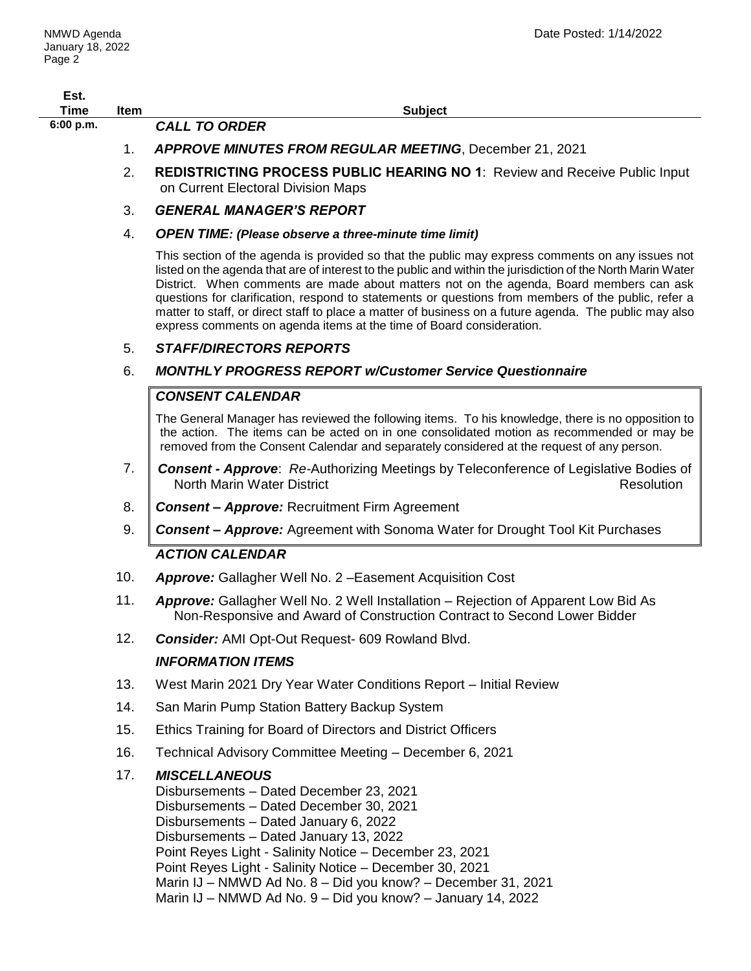| Est.<br><b>Time</b> | Item | <b>Subject</b>                                                                                                                                                                                                                                                                                                                                                                                                                                                                                                                                                                                       |
|---------------------|------|------------------------------------------------------------------------------------------------------------------------------------------------------------------------------------------------------------------------------------------------------------------------------------------------------------------------------------------------------------------------------------------------------------------------------------------------------------------------------------------------------------------------------------------------------------------------------------------------------|
| 6:00 p.m.           |      | <b>CALL TO ORDER</b>                                                                                                                                                                                                                                                                                                                                                                                                                                                                                                                                                                                 |
|                     | 1.   | <b>APPROVE MINUTES FROM REGULAR MEETING, December 21, 2021</b>                                                                                                                                                                                                                                                                                                                                                                                                                                                                                                                                       |
|                     | 2.   | <b>REDISTRICTING PROCESS PUBLIC HEARING NO 1: Review and Receive Public Input</b><br>on Current Electoral Division Maps                                                                                                                                                                                                                                                                                                                                                                                                                                                                              |
|                     | 3.   | <b>GENERAL MANAGER'S REPORT</b>                                                                                                                                                                                                                                                                                                                                                                                                                                                                                                                                                                      |
|                     | 4.   | <b>OPEN TIME: (Please observe a three-minute time limit)</b>                                                                                                                                                                                                                                                                                                                                                                                                                                                                                                                                         |
|                     |      | This section of the agenda is provided so that the public may express comments on any issues not<br>listed on the agenda that are of interest to the public and within the jurisdiction of the North Marin Water<br>District. When comments are made about matters not on the agenda, Board members can ask<br>questions for clarification, respond to statements or questions from members of the public, refer a<br>matter to staff, or direct staff to place a matter of business on a future agenda. The public may also<br>express comments on agenda items at the time of Board consideration. |
|                     | 5.   | <b>STAFF/DIRECTORS REPORTS</b>                                                                                                                                                                                                                                                                                                                                                                                                                                                                                                                                                                       |
|                     | 6.   | <b>MONTHLY PROGRESS REPORT w/Customer Service Questionnaire</b>                                                                                                                                                                                                                                                                                                                                                                                                                                                                                                                                      |
|                     |      | <b>CONSENT CALENDAR</b>                                                                                                                                                                                                                                                                                                                                                                                                                                                                                                                                                                              |
|                     |      | The General Manager has reviewed the following items. To his knowledge, there is no opposition to<br>the action. The items can be acted on in one consolidated motion as recommended or may be<br>removed from the Consent Calendar and separately considered at the request of any person.                                                                                                                                                                                                                                                                                                          |
|                     | 7.   | <b>Consent - Approve:</b> Re-Authorizing Meetings by Teleconference of Legislative Bodies of<br>North Marin Water District<br>Resolution                                                                                                                                                                                                                                                                                                                                                                                                                                                             |
|                     | 8.   | <b>Consent - Approve: Recruitment Firm Agreement</b>                                                                                                                                                                                                                                                                                                                                                                                                                                                                                                                                                 |
|                     | 9.   | <b>Consent - Approve:</b> Agreement with Sonoma Water for Drought Tool Kit Purchases                                                                                                                                                                                                                                                                                                                                                                                                                                                                                                                 |
|                     |      | <b>ACTION CALENDAR</b>                                                                                                                                                                                                                                                                                                                                                                                                                                                                                                                                                                               |
|                     | 10.  | <b>Approve:</b> Gallagher Well No. 2 - Easement Acquisition Cost                                                                                                                                                                                                                                                                                                                                                                                                                                                                                                                                     |
|                     | 11.  | Approve: Gallagher Well No. 2 Well Installation – Rejection of Apparent Low Bid As<br>Non-Responsive and Award of Construction Contract to Second Lower Bidder                                                                                                                                                                                                                                                                                                                                                                                                                                       |
|                     | 12.  | <b>Consider:</b> AMI Opt-Out Request- 609 Rowland Blvd.                                                                                                                                                                                                                                                                                                                                                                                                                                                                                                                                              |
|                     |      | <b>INFORMATION ITEMS</b>                                                                                                                                                                                                                                                                                                                                                                                                                                                                                                                                                                             |
|                     | 13.  | West Marin 2021 Dry Year Water Conditions Report - Initial Review                                                                                                                                                                                                                                                                                                                                                                                                                                                                                                                                    |
|                     | 14.  | San Marin Pump Station Battery Backup System                                                                                                                                                                                                                                                                                                                                                                                                                                                                                                                                                         |
|                     | 15.  | Ethics Training for Board of Directors and District Officers                                                                                                                                                                                                                                                                                                                                                                                                                                                                                                                                         |
|                     | 16.  | Technical Advisory Committee Meeting - December 6, 2021                                                                                                                                                                                                                                                                                                                                                                                                                                                                                                                                              |
|                     | 17.  | <b>MISCELLANEOUS</b><br>Disbursements - Dated December 23, 2021<br>Disbursements - Dated December 30, 2021<br>Disbursements - Dated January 6, 2022<br>Disbursements - Dated January 13, 2022<br>Point Reyes Light - Salinity Notice - December 23, 2021<br>Point Reyes Light - Salinity Notice - December 30, 2021<br>Marin IJ - NMWD Ad No. 8 - Did you know? - December 31, 2021<br>Marin IJ - NMWD Ad No. 9 - Did you know? - January 14, 2022                                                                                                                                                   |